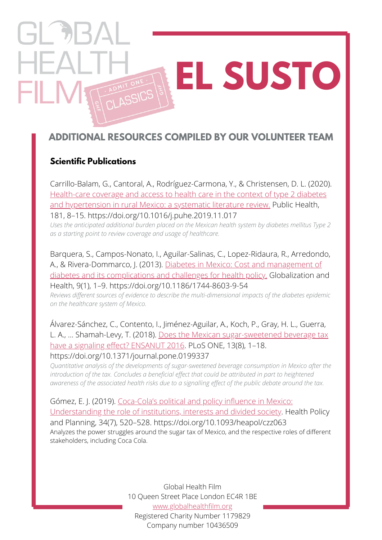## $\Box$ **[E](https://www.globalhealthfilm.org/posts/51-global-health-film-classics-series)L SUSTO** FIL I **ASSICS**

## **ADDITIONAL RESOURCES COMPILED BY OUR VOLUNTEER TEAM**

### **Scientific Publications**

Carrillo-Balam, G., Cantoral, A., Rodríguez-Carmona, Y., & Christensen, D. L. (2020). [Health-care coverage and access to health care in the context of type 2 diabetes](https://www.sciencedirect.com/science/article/pii/S0033350619303750#cebib0010) and hypertension in rural Mexico: a systematic literature review. Public Health, 181, 8–15. https://doi.org/10.1016/j.puhe.2019.11.017

*Uses the anticipated additional burden placed on the Mexican health system by diabetes mellitus Type 2 as a starting point to review coverage and usage of healthcare.*

Barquera, S., Campos-Nonato, I., Aguilar-Salinas, C., Lopez-Ridaura, R., Arredondo, [A., & Rivera-Dommarco, J. \(2013\). Diabetes in Mexico: Cost and management of](https://globalizationandhealth.biomedcentral.com/articles/10.1186/1744-8603-9-3) diabetes and its complications and challenges for health policy. Globalization and Health, 9(1), 1–9. https://doi.org/10.1186/1744-8603-9-54

*Reviews different sources of evidence to describe the multi-dimensional impacts of the diabetes epidemic on the healthcare system of Mexico.*

Álvarez-Sánchez, C., Contento, I., Jiménez-Aguilar, A., Koch, P., Gray, H. L., Guerra, [L. A., … Shamah-Levy, T. \(2018\). Does the Mexican sugar-sweetened beverage tax](https://www.ncbi.nlm.nih.gov/pmc/articles/PMC6104929/) have a signaling effect? ENSANUT 2016. PLoS ONE, 13(8), 1-18. https://doi.org/10.1371/journal.pone.0199337

*Quantitative analysis of the developments of sugar-sweetened beverage consumption in Mexico after the introduction of the tax. Concludes a beneficial effect that could be attributed in part to heightened* awareness of the associated health risks due to a signalling effect of the public debate around the tax.

[Gómez, E. J. \(2019\). Coca-Cola's political and policy influence in Mexico:](https://academic.oup.com/heapol/article/34/7/520/5543873) Understanding the role of institutions, interests and divided society. Health Policy and Planning, 34(7), 520–528. https://doi.org/10.1093/heapol/czz063 Analyzes the power struggles around the sugar tax of Mexico, and the respective roles of different stakeholders, including Coca Cola.

> Global Health Film 10 Queen Street Place London EC4R 1BE [www.globalhealthfilm.org](http://globalhealthfilm.org/) Registered Charity Number 1179829 Company number 10436509